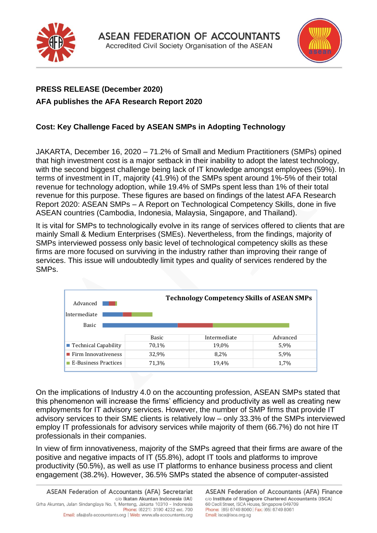



## **PRESS RELEASE (December 2020) AFA publishes the AFA Research Report 2020**

## **Cost: Key Challenge Faced by ASEAN SMPs in Adopting Technology**

JAKARTA, December 16, 2020 – 71.2% of Small and Medium Practitioners (SMPs) opined that high investment cost is a major setback in their inability to adopt the latest technology, with the second biggest challenge being lack of IT knowledge amongst employees (59%). In terms of investment in IT, majority (41.9%) of the SMPs spent around 1%-5% of their total revenue for technology adoption, while 19.4% of SMPs spent less than 1% of their total revenue for this purpose. These figures are based on findings of the latest AFA Research Report 2020: ASEAN SMPs – A Report on Technological Competency Skills, done in five ASEAN countries (Cambodia, Indonesia, Malaysia, Singapore, and Thailand).

It is vital for SMPs to technologically evolve in its range of services offered to clients that are mainly Small & Medium Enterprises (SMEs). Nevertheless, from the findings, majority of SMPs interviewed possess only basic level of technological competency skills as these firms are more focused on surviving in the industry rather than improving their range of services. This issue will undoubtedly limit types and quality of services rendered by the SMPs.

| Advanced                           |              | <b>Technology Competency Skills of ASEAN SMPs</b> |          |  |
|------------------------------------|--------------|---------------------------------------------------|----------|--|
|                                    |              |                                                   |          |  |
| Intermediate                       |              |                                                   |          |  |
| <b>Basic</b>                       |              |                                                   |          |  |
|                                    |              |                                                   |          |  |
|                                    | <b>Basic</b> | Intermediate                                      | Advanced |  |
| ■ Technical Capability             | 70,1%        | 19,0%                                             | 5,9%     |  |
| $\blacksquare$ Firm Innovativeness | 32,9%        | 8,2%                                              | 5,9%     |  |

On the implications of Industry 4.0 on the accounting profession, ASEAN SMPs stated that this phenomenon will increase the firms' efficiency and productivity as well as creating new employments for IT advisory services. However, the number of SMP firms that provide IT advisory services to their SME clients is relatively low – only 33.3% of the SMPs interviewed employ IT professionals for advisory services while majority of them (66.7%) do not hire IT professionals in their companies.

In view of firm innovativeness, majority of the SMPs agreed that their firms are aware of the positive and negative impacts of IT (55.8%), adopt IT tools and platforms to improve productivity (50.5%), as well as use IT platforms to enhance business process and client engagement (38.2%). However, 36.5% SMPs stated the absence of computer-assisted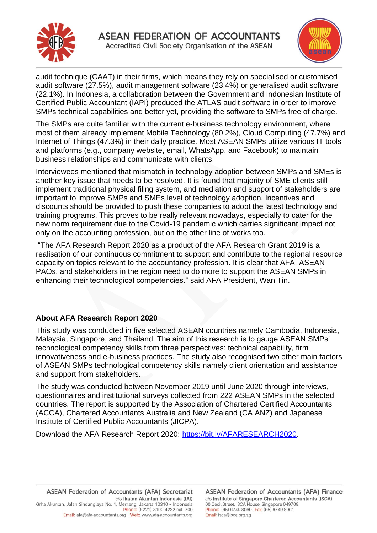



audit technique (CAAT) in their firms, which means they rely on specialised or customised audit software (27.5%), audit management software (23.4%) or generalised audit software (22.1%). In Indonesia, a collaboration between the Government and Indonesian Institute of Certified Public Accountant (IAPI) produced the ATLAS audit software in order to improve SMPs technical capabilities and better yet, providing the software to SMPs free of charge.

The SMPs are quite familiar with the current e-business technology environment, where most of them already implement Mobile Technology (80.2%), Cloud Computing (47.7%) and Internet of Things (47.3%) in their daily practice. Most ASEAN SMPs utilize various IT tools and platforms (e.g., company website, email, WhatsApp, and Facebook) to maintain business relationships and communicate with clients.

Interviewees mentioned that mismatch in technology adoption between SMPs and SMEs is another key issue that needs to be resolved. It is found that majority of SME clients still implement traditional physical filing system, and mediation and support of stakeholders are important to improve SMPs and SMEs level of technology adoption. Incentives and discounts should be provided to push these companies to adopt the latest technology and training programs. This proves to be really relevant nowadays, especially to cater for the new norm requirement due to the Covid-19 pandemic which carries significant impact not only on the accounting profession, but on the other line of works too.

"The AFA Research Report 2020 as a product of the AFA Research Grant 2019 is a realisation of our continuous commitment to support and contribute to the regional resource capacity on topics relevant to the accountancy profession. It is clear that AFA, ASEAN PAOs, and stakeholders in the region need to do more to support the ASEAN SMPs in enhancing their technological competencies." said AFA President, Wan Tin.

## **About AFA Research Report 2020**

This study was conducted in five selected ASEAN countries namely Cambodia, Indonesia, Malaysia, Singapore, and Thailand. The aim of this research is to gauge ASEAN SMPs' technological competency skills from three perspectives: technical capability, firm innovativeness and e-business practices. The study also recognised two other main factors of ASEAN SMPs technological competency skills namely client orientation and assistance and support from stakeholders.

The study was conducted between November 2019 until June 2020 through interviews, questionnaires and institutional surveys collected from 222 ASEAN SMPs in the selected countries. The report is supported by the Association of Chartered Certified Accountants (ACCA), Chartered Accountants Australia and New Zealand (CA ANZ) and Japanese Institute of Certified Public Accountants (JICPA).

Download the AFA Research Report 2020: [https://bit.ly/AFARESEARCH2020.](https://bit.ly/AFARESEARCH2020)